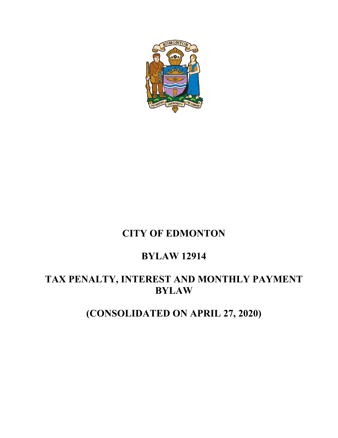

## **CITY OF EDMONTON**

### **BYLAW 12914**

### **TAX PENALTY, INTEREST AND MONTHLY PAYMENT BYLAW**

# **(CONSOLIDATED ON APRIL 27, 2020)**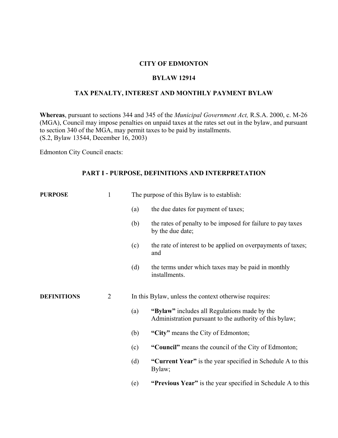#### **CITY OF EDMONTON**

#### **BYLAW 12914**

### **TAX PENALTY, INTEREST AND MONTHLY PAYMENT BYLAW**

**Whereas**, pursuant to sections 344 and 345 of the *Municipal Government Act,* R.S.A. 2000, c. M-26 (MGA), Council may impose penalties on unpaid taxes at the rates set out in the bylaw, and pursuant to section 340 of the MGA, may permit taxes to be paid by installments. (S.2, Bylaw 13544, December 16, 2003)

Edmonton City Council enacts:

#### **PART I - PURPOSE, DEFINITIONS AND INTERPRETATION**

| <b>PURPOSE</b>     | 1              | The purpose of this Bylaw is to establish: |                                                                                                         |  |
|--------------------|----------------|--------------------------------------------|---------------------------------------------------------------------------------------------------------|--|
|                    |                | (a)                                        | the due dates for payment of taxes;                                                                     |  |
|                    |                | (b)                                        | the rates of penalty to be imposed for failure to pay taxes<br>by the due date;                         |  |
|                    |                | (c)                                        | the rate of interest to be applied on overpayments of taxes;<br>and                                     |  |
|                    |                | (d)                                        | the terms under which taxes may be paid in monthly<br>installments.                                     |  |
| <b>DEFINITIONS</b> | $\overline{2}$ |                                            | In this Bylaw, unless the context otherwise requires:                                                   |  |
|                    |                | (a)                                        | "Bylaw" includes all Regulations made by the<br>Administration pursuant to the authority of this bylaw; |  |
|                    |                | (b)                                        | "City" means the City of Edmonton;                                                                      |  |
|                    |                | (c)                                        | "Council" means the council of the City of Edmonton;                                                    |  |
|                    |                | (d)                                        | "Current Year" is the year specified in Schedule A to this<br>Bylaw;                                    |  |
|                    |                | (e)                                        | "Previous Year" is the year specified in Schedule A to this                                             |  |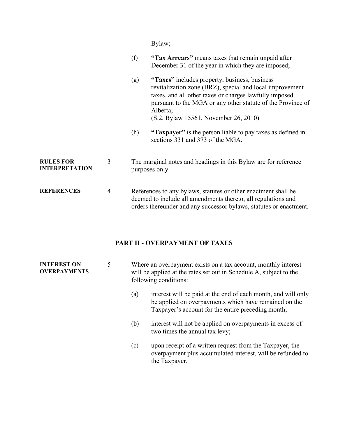Bylaw;

| (f) | "Tax Arrears" means taxes that remain unpaid after |
|-----|----------------------------------------------------|
|     | December 31 of the year in which they are imposed; |

- (g) **"Taxes"** includes property, business, business revitalization zone (BRZ), special and local improvement taxes, and all other taxes or charges lawfully imposed pursuant to the MGA or any other statute of the Province of Alberta; (S.2, Bylaw 15561, November 26, 2010)
- (h) **"Taxpayer"** is the person liable to pay taxes as defined in sections 331 and 373 of the MGA.

#### **RULES FOR INTERPRETATION** 3 The marginal notes and headings in this Bylaw are for reference purposes only.

**REFERENCES** 4 References to any bylaws, statutes or other enactment shall be deemed to include all amendments thereto, all regulations and orders thereunder and any successor bylaws, statutes or enactment.

#### **PART II - OVERPAYMENT OF TAXES**

| <b>INTEREST ON</b><br><b>OVERPAYMENTS</b> | 5 |     | Where an overpayment exists on a tax account, monthly interest<br>will be applied at the rates set out in Schedule A, subject to the<br>following conditions:                |  |  |
|-------------------------------------------|---|-----|------------------------------------------------------------------------------------------------------------------------------------------------------------------------------|--|--|
|                                           |   | (a) | interest will be paid at the end of each month, and will only<br>be applied on overpayments which have remained on the<br>Taxpayer's account for the entire preceding month; |  |  |
|                                           |   | (b) | interest will not be applied on overpayments in excess of<br>two times the annual tax levy;                                                                                  |  |  |
|                                           |   | (c) | upon receipt of a written request from the Taxpayer, the<br>overpayment plus accumulated interest, will be refunded to<br>the Taxpayer.                                      |  |  |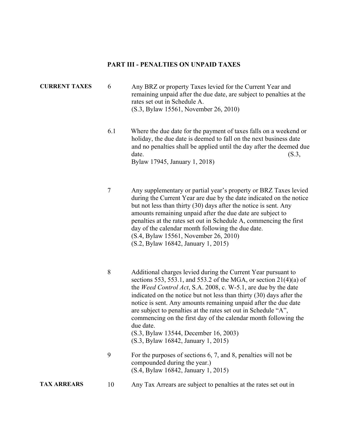#### **PART III - PENALTIES ON UNPAID TAXES**

### **CURRENT TAXES** 6 Any BRZ or property Taxes levied for the Current Year and remaining unpaid after the due date, are subject to penalties at the rates set out in Schedule A. (S.3, Bylaw 15561, November 26, 2010)

- 6.1 Where the due date for the payment of taxes falls on a weekend or holiday, the due date is deemed to fall on the next business date and no penalties shall be applied until the day after the deemed due date.  $(S.3,$ Bylaw 17945, January 1, 2018)
- 7 Any supplementary or partial year's property or BRZ Taxes levied during the Current Year are due by the date indicated on the notice but not less than thirty (30) days after the notice is sent. Any amounts remaining unpaid after the due date are subject to penalties at the rates set out in Schedule A, commencing the first day of the calendar month following the due date. (S.4, Bylaw 15561, November 26, 2010) (S.2, Bylaw 16842, January 1, 2015)
- 8 Additional charges levied during the Current Year pursuant to sections 553, 553.1, and 553.2 of the MGA, or section 21(4)(a) of the *Weed Control Act*, S.A. 2008, c. W-5.1, are due by the date indicated on the notice but not less than thirty (30) days after the notice is sent. Any amounts remaining unpaid after the due date are subject to penalties at the rates set out in Schedule "A", commencing on the first day of the calendar month following the due date. (S.3, Bylaw 13544, December 16, 2003) (S.3, Bylaw 16842, January 1, 2015)
- 9 For the purposes of sections 6, 7, and 8, penalties will not be compounded during the year.) (S.4, Bylaw 16842, January 1, 2015)
- **TAX ARREARS** 10 Any Tax Arrears are subject to penalties at the rates set out in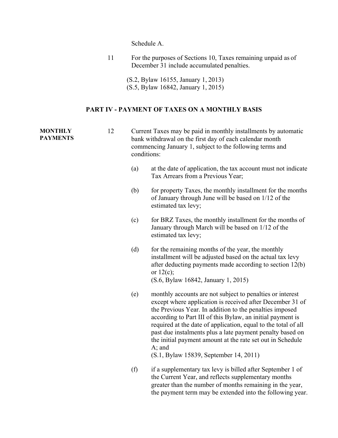Schedule A.

11 For the purposes of Sections 10, Taxes remaining unpaid as of December 31 include accumulated penalties.

(S.2, Bylaw 16155, January 1, 2013) (S.5, Bylaw 16842, January 1, 2015)

### **PART IV - PAYMENT OF TAXES ON A MONTHLY BASIS**

| <b>MONTHLY</b><br><b>PAYMENTS</b> | 12 | Current Taxes may be paid in monthly installments by automatic<br>bank withdrawal on the first day of each calendar month<br>commencing January 1, subject to the following terms and<br>conditions: |                                                                                                                                                                                                                                                                                                                                                                                                                                                                                                     |  |
|-----------------------------------|----|------------------------------------------------------------------------------------------------------------------------------------------------------------------------------------------------------|-----------------------------------------------------------------------------------------------------------------------------------------------------------------------------------------------------------------------------------------------------------------------------------------------------------------------------------------------------------------------------------------------------------------------------------------------------------------------------------------------------|--|
|                                   |    | (a)                                                                                                                                                                                                  | at the date of application, the tax account must not indicate<br>Tax Arrears from a Previous Year;                                                                                                                                                                                                                                                                                                                                                                                                  |  |
|                                   |    | (b)                                                                                                                                                                                                  | for property Taxes, the monthly installment for the months<br>of January through June will be based on 1/12 of the<br>estimated tax levy;                                                                                                                                                                                                                                                                                                                                                           |  |
|                                   |    | (c)                                                                                                                                                                                                  | for BRZ Taxes, the monthly installment for the months of<br>January through March will be based on 1/12 of the<br>estimated tax levy;                                                                                                                                                                                                                                                                                                                                                               |  |
|                                   |    | (d)                                                                                                                                                                                                  | for the remaining months of the year, the monthly<br>installment will be adjusted based on the actual tax levy<br>after deducting payments made according to section 12(b)<br>or $12(c)$ ;<br>(S.6, Bylaw 16842, January 1, 2015)                                                                                                                                                                                                                                                                   |  |
|                                   |    | (e)                                                                                                                                                                                                  | monthly accounts are not subject to penalties or interest<br>except where application is received after December 31 of<br>the Previous Year. In addition to the penalties imposed<br>according to Part III of this Bylaw, an initial payment is<br>required at the date of application, equal to the total of all<br>past due instalments plus a late payment penalty based on<br>the initial payment amount at the rate set out in Schedule<br>$A$ ; and<br>(S.1, Bylaw 15839, September 14, 2011) |  |
|                                   |    | (f)                                                                                                                                                                                                  | if a supplementary tax levy is billed after September 1 of<br>the Current Year, and reflects supplementary months<br>greater than the number of months remaining in the year,<br>the payment term may be extended into the following year.                                                                                                                                                                                                                                                          |  |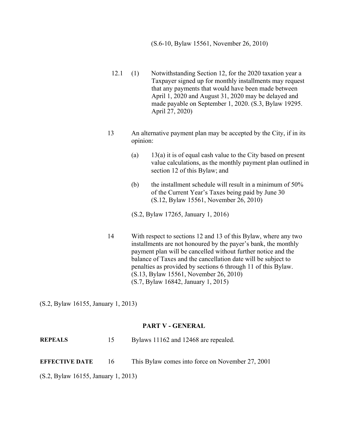- 12.1 (1) Notwithstanding Section 12, for the 2020 taxation year a Taxpayer signed up for monthly installments may request that any payments that would have been made between April 1, 2020 and August 31, 2020 may be delayed and made payable on September 1, 2020. (S.3, Bylaw 19295. April 27, 2020)
- 13 An alternative payment plan may be accepted by the City, if in its opinion:
	- (a)  $13(a)$  it is of equal cash value to the City based on present value calculations, as the monthly payment plan outlined in section 12 of this Bylaw; and
	- (b) the installment schedule will result in a minimum of 50% of the Current Year's Taxes being paid by June 30 (S.12, Bylaw 15561, November 26, 2010)
	- (S.2, Bylaw 17265, January 1, 2016)
- 14 With respect to sections 12 and 13 of this Bylaw, where any two installments are not honoured by the payer's bank, the monthly payment plan will be cancelled without further notice and the balance of Taxes and the cancellation date will be subject to penalties as provided by sections 6 through 11 of this Bylaw. (S.13, Bylaw 15561, November 26, 2010) (S.7, Bylaw 16842, January 1, 2015)

(S.2, Bylaw 16155, January 1, 2013)

#### **PART V - GENERAL**

**REPEALS** 15 Bylaws 11162 and 12468 are repealed.

**EFFECTIVE DATE** 16 This Bylaw comes into force on November 27, 2001

(S.2, Bylaw 16155, January 1, 2013)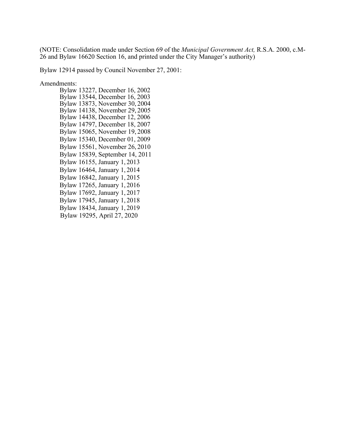(NOTE: Consolidation made under Section 69 of the *Municipal Government Act,* R.S.A. 2000, c.M-26 and Bylaw 16620 Section 16, and printed under the City Manager's authority)

Bylaw 12914 passed by Council November 27, 2001:

Amendments:

Bylaw 13227, December 16, 2002 Bylaw 13544, December 16, 2003 Bylaw 13873, November 30, 2004 Bylaw 14138, November 29, 2005 Bylaw 14438, December 12, 2006 Bylaw 14797, December 18, 2007 Bylaw 15065, November 19, 2008 Bylaw 15340, December 01, 2009 Bylaw 15561, November 26, 2010 Bylaw 15839, September 14, 2011 Bylaw 16155, January 1, 2013 Bylaw 16464, January 1, 2014 Bylaw 16842, January 1, 2015 Bylaw 17265, January 1, 2016 Bylaw 17692, January 1, 2017 Bylaw 17945, January 1, 2018 Bylaw 18434, January 1, 2019 Bylaw 19295, April 27, 2020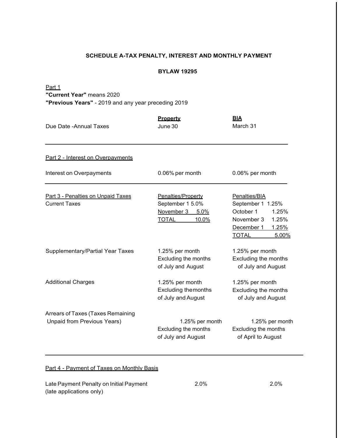#### **SCHEDULE A-TAX PENALTY, INTEREST AND MONTHLY PAYMENT**

#### **BYLAW 19295**

#### Part 1

**"Current Year"** means 2020

**"Previous Years"** - 2019 and any year preceding 2019

| Due Date - Annual Taxes                                          | <b>Property</b><br>June 30                                                            | <b>BIA</b><br>March 31                                                                                                          |
|------------------------------------------------------------------|---------------------------------------------------------------------------------------|---------------------------------------------------------------------------------------------------------------------------------|
| Part 2 - Interest on Overpayments                                |                                                                                       |                                                                                                                                 |
| Interest on Overpayments                                         | 0.06% per month                                                                       | 0.06% per month                                                                                                                 |
| Part 3 - Penalties on Unpaid Taxes<br><b>Current Taxes</b>       | Penalties/Property<br>September 1 5.0%<br>November 3<br>5.0%<br><b>TOTAL</b><br>10.0% | Penalties/BIA<br>September 1 1.25%<br>October 1<br>1.25%<br>November 3<br>1.25%<br>December 1<br>1.25%<br><b>TOTAL</b><br>5.00% |
| Supplementary/Partial Year Taxes                                 | 1.25% per month<br>Excluding the months<br>of July and August                         | 1.25% per month<br>Excluding the months<br>of July and August                                                                   |
| <b>Additional Charges</b>                                        | 1.25% per month<br><b>Excluding themonths</b><br>of July and August                   | 1.25% per month<br>Excluding the months<br>of July and August                                                                   |
| Arrears of Taxes (Taxes Remaining<br>Unpaid from Previous Years) | 1.25% per month<br>Excluding the months<br>of July and August                         | 1.25% per month<br>Excluding the months<br>of April to August                                                                   |

#### Part 4 - Payment of Taxes on Monthly Basis

Late Payment Penalty on Initial Payment (late applications only)

2.0% 2.0%